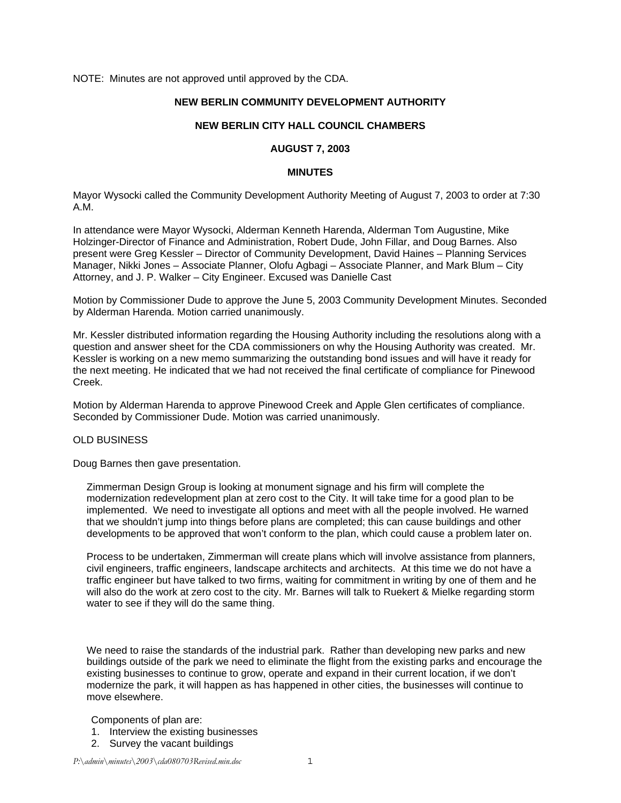NOTE: Minutes are not approved until approved by the CDA.

### **NEW BERLIN COMMUNITY DEVELOPMENT AUTHORITY**

### **NEW BERLIN CITY HALL COUNCIL CHAMBERS**

# **AUGUST 7, 2003**

### **MINUTES**

Mayor Wysocki called the Community Development Authority Meeting of August 7, 2003 to order at 7:30 A.M.

In attendance were Mayor Wysocki, Alderman Kenneth Harenda, Alderman Tom Augustine, Mike Holzinger-Director of Finance and Administration, Robert Dude, John Fillar, and Doug Barnes. Also present were Greg Kessler – Director of Community Development, David Haines – Planning Services Manager, Nikki Jones – Associate Planner, Olofu Agbagi – Associate Planner, and Mark Blum – City Attorney, and J. P. Walker – City Engineer. Excused was Danielle Cast

Motion by Commissioner Dude to approve the June 5, 2003 Community Development Minutes. Seconded by Alderman Harenda. Motion carried unanimously.

Mr. Kessler distributed information regarding the Housing Authority including the resolutions along with a question and answer sheet for the CDA commissioners on why the Housing Authority was created. Mr. Kessler is working on a new memo summarizing the outstanding bond issues and will have it ready for the next meeting. He indicated that we had not received the final certificate of compliance for Pinewood Creek.

Motion by Alderman Harenda to approve Pinewood Creek and Apple Glen certificates of compliance. Seconded by Commissioner Dude. Motion was carried unanimously.

# OLD BUSINESS

Doug Barnes then gave presentation.

Zimmerman Design Group is looking at monument signage and his firm will complete the modernization redevelopment plan at zero cost to the City. It will take time for a good plan to be implemented. We need to investigate all options and meet with all the people involved. He warned that we shouldn't jump into things before plans are completed; this can cause buildings and other developments to be approved that won't conform to the plan, which could cause a problem later on.

Process to be undertaken, Zimmerman will create plans which will involve assistance from planners, civil engineers, traffic engineers, landscape architects and architects. At this time we do not have a traffic engineer but have talked to two firms, waiting for commitment in writing by one of them and he will also do the work at zero cost to the city. Mr. Barnes will talk to Ruekert & Mielke regarding storm water to see if they will do the same thing.

We need to raise the standards of the industrial park. Rather than developing new parks and new buildings outside of the park we need to eliminate the flight from the existing parks and encourage the existing businesses to continue to grow, operate and expand in their current location, if we don't modernize the park, it will happen as has happened in other cities, the businesses will continue to move elsewhere.

#### Components of plan are:

- 1. Interview the existing businesses
- 2. Survey the vacant buildings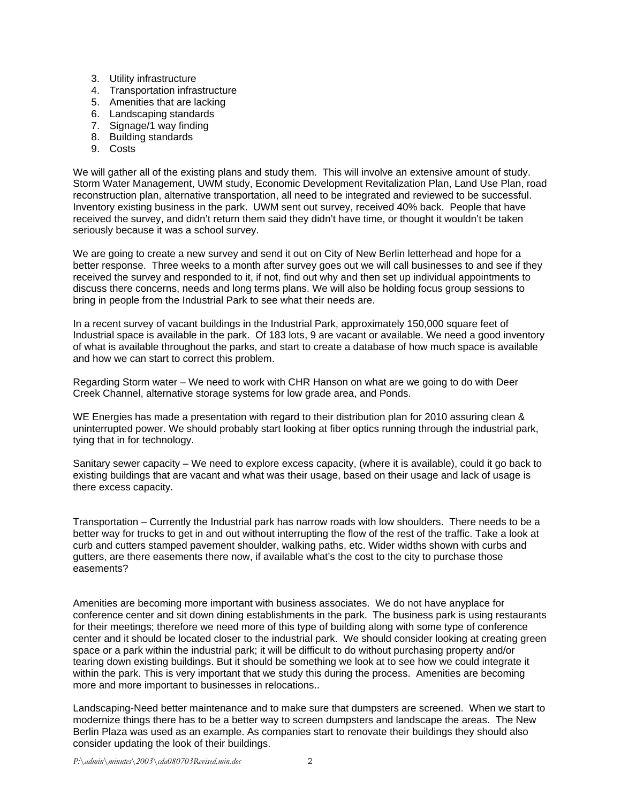- 3. Utility infrastructure
- 4. Transportation infrastructure
- 5. Amenities that are lacking
- 6. Landscaping standards
- 7. Signage/1 way finding
- 8. Building standards
- 9. Costs

We will gather all of the existing plans and study them. This will involve an extensive amount of study. Storm Water Management, UWM study, Economic Development Revitalization Plan, Land Use Plan, road reconstruction plan, alternative transportation, all need to be integrated and reviewed to be successful. Inventory existing business in the park. UWM sent out survey, received 40% back. People that have received the survey, and didn't return them said they didn't have time, or thought it wouldn't be taken seriously because it was a school survey.

We are going to create a new survey and send it out on City of New Berlin letterhead and hope for a better response. Three weeks to a month after survey goes out we will call businesses to and see if they received the survey and responded to it, if not, find out why and then set up individual appointments to discuss there concerns, needs and long terms plans. We will also be holding focus group sessions to bring in people from the Industrial Park to see what their needs are.

In a recent survey of vacant buildings in the Industrial Park, approximately 150,000 square feet of Industrial space is available in the park. Of 183 lots, 9 are vacant or available. We need a good inventory of what is available throughout the parks, and start to create a database of how much space is available and how we can start to correct this problem.

Regarding Storm water – We need to work with CHR Hanson on what are we going to do with Deer Creek Channel, alternative storage systems for low grade area, and Ponds.

WE Energies has made a presentation with regard to their distribution plan for 2010 assuring clean & uninterrupted power. We should probably start looking at fiber optics running through the industrial park, tying that in for technology.

Sanitary sewer capacity – We need to explore excess capacity, (where it is available), could it go back to existing buildings that are vacant and what was their usage, based on their usage and lack of usage is there excess capacity.

Transportation – Currently the Industrial park has narrow roads with low shoulders. There needs to be a better way for trucks to get in and out without interrupting the flow of the rest of the traffic. Take a look at curb and cutters stamped pavement shoulder, walking paths, etc. Wider widths shown with curbs and gutters, are there easements there now, if available what's the cost to the city to purchase those easements?

Amenities are becoming more important with business associates. We do not have anyplace for conference center and sit down dining establishments in the park. The business park is using restaurants for their meetings; therefore we need more of this type of building along with some type of conference center and it should be located closer to the industrial park. We should consider looking at creating green space or a park within the industrial park; it will be difficult to do without purchasing property and/or tearing down existing buildings. But it should be something we look at to see how we could integrate it within the park. This is very important that we study this during the process. Amenities are becoming more and more important to businesses in relocations..

Landscaping-Need better maintenance and to make sure that dumpsters are screened. When we start to modernize things there has to be a better way to screen dumpsters and landscape the areas. The New Berlin Plaza was used as an example. As companies start to renovate their buildings they should also consider updating the look of their buildings.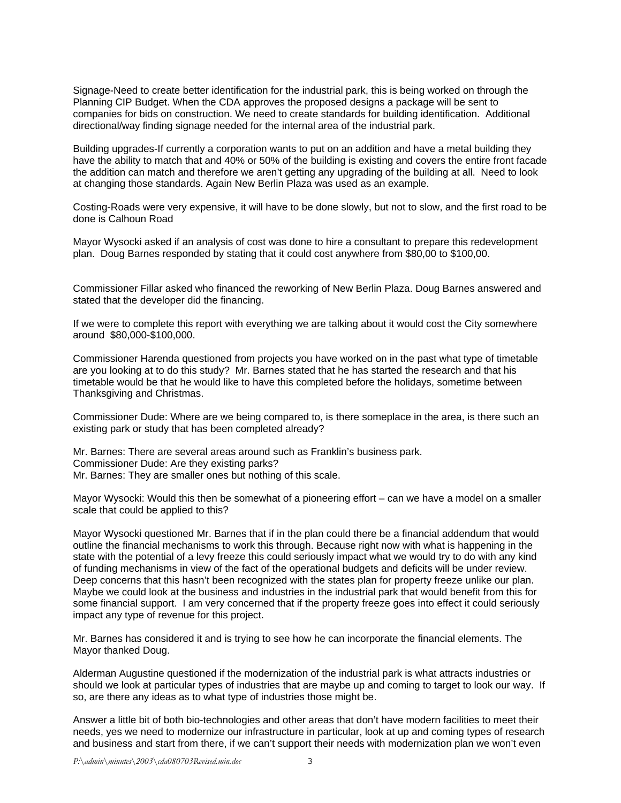Signage-Need to create better identification for the industrial park, this is being worked on through the Planning CIP Budget. When the CDA approves the proposed designs a package will be sent to companies for bids on construction. We need to create standards for building identification. Additional directional/way finding signage needed for the internal area of the industrial park.

Building upgrades-If currently a corporation wants to put on an addition and have a metal building they have the ability to match that and 40% or 50% of the building is existing and covers the entire front facade the addition can match and therefore we aren't getting any upgrading of the building at all. Need to look at changing those standards. Again New Berlin Plaza was used as an example.

Costing-Roads were very expensive, it will have to be done slowly, but not to slow, and the first road to be done is Calhoun Road

Mayor Wysocki asked if an analysis of cost was done to hire a consultant to prepare this redevelopment plan. Doug Barnes responded by stating that it could cost anywhere from \$80,00 to \$100,00.

Commissioner Fillar asked who financed the reworking of New Berlin Plaza. Doug Barnes answered and stated that the developer did the financing.

If we were to complete this report with everything we are talking about it would cost the City somewhere around \$80,000-\$100,000.

Commissioner Harenda questioned from projects you have worked on in the past what type of timetable are you looking at to do this study? Mr. Barnes stated that he has started the research and that his timetable would be that he would like to have this completed before the holidays, sometime between Thanksgiving and Christmas.

Commissioner Dude: Where are we being compared to, is there someplace in the area, is there such an existing park or study that has been completed already?

Mr. Barnes: There are several areas around such as Franklin's business park. Commissioner Dude: Are they existing parks? Mr. Barnes: They are smaller ones but nothing of this scale.

Mayor Wysocki: Would this then be somewhat of a pioneering effort – can we have a model on a smaller scale that could be applied to this?

Mayor Wysocki questioned Mr. Barnes that if in the plan could there be a financial addendum that would outline the financial mechanisms to work this through. Because right now with what is happening in the state with the potential of a levy freeze this could seriously impact what we would try to do with any kind of funding mechanisms in view of the fact of the operational budgets and deficits will be under review. Deep concerns that this hasn't been recognized with the states plan for property freeze unlike our plan. Maybe we could look at the business and industries in the industrial park that would benefit from this for some financial support. I am very concerned that if the property freeze goes into effect it could seriously impact any type of revenue for this project.

Mr. Barnes has considered it and is trying to see how he can incorporate the financial elements. The Mayor thanked Doug.

Alderman Augustine questioned if the modernization of the industrial park is what attracts industries or should we look at particular types of industries that are maybe up and coming to target to look our way. If so, are there any ideas as to what type of industries those might be.

Answer a little bit of both bio-technologies and other areas that don't have modern facilities to meet their needs, yes we need to modernize our infrastructure in particular, look at up and coming types of research and business and start from there, if we can't support their needs with modernization plan we won't even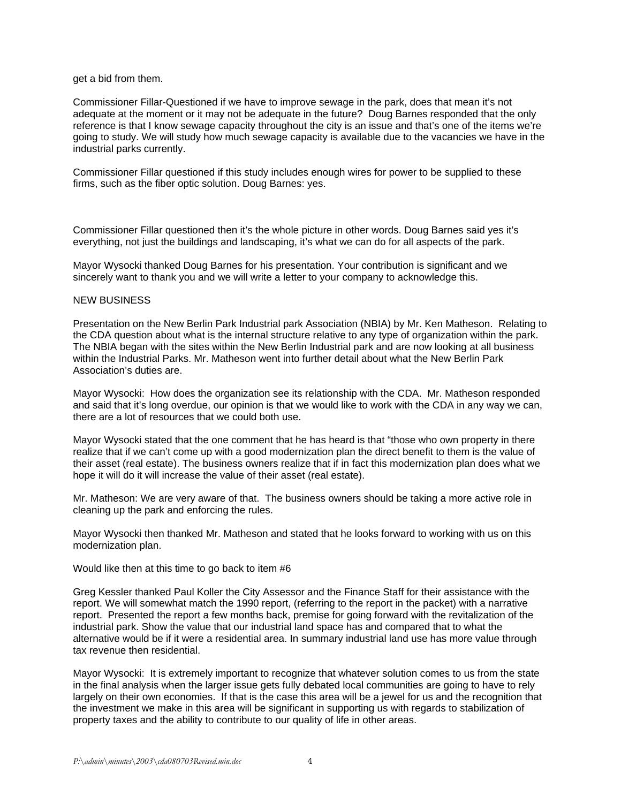### get a bid from them.

Commissioner Fillar-Questioned if we have to improve sewage in the park, does that mean it's not adequate at the moment or it may not be adequate in the future? Doug Barnes responded that the only reference is that I know sewage capacity throughout the city is an issue and that's one of the items we're going to study. We will study how much sewage capacity is available due to the vacancies we have in the industrial parks currently.

Commissioner Fillar questioned if this study includes enough wires for power to be supplied to these firms, such as the fiber optic solution. Doug Barnes: yes.

Commissioner Fillar questioned then it's the whole picture in other words. Doug Barnes said yes it's everything, not just the buildings and landscaping, it's what we can do for all aspects of the park.

Mayor Wysocki thanked Doug Barnes for his presentation. Your contribution is significant and we sincerely want to thank you and we will write a letter to your company to acknowledge this.

## NEW BUSINESS

Presentation on the New Berlin Park Industrial park Association (NBIA) by Mr. Ken Matheson. Relating to the CDA question about what is the internal structure relative to any type of organization within the park. The NBIA began with the sites within the New Berlin Industrial park and are now looking at all business within the Industrial Parks. Mr. Matheson went into further detail about what the New Berlin Park Association's duties are.

Mayor Wysocki: How does the organization see its relationship with the CDA. Mr. Matheson responded and said that it's long overdue, our opinion is that we would like to work with the CDA in any way we can, there are a lot of resources that we could both use.

Mayor Wysocki stated that the one comment that he has heard is that "those who own property in there realize that if we can't come up with a good modernization plan the direct benefit to them is the value of their asset (real estate). The business owners realize that if in fact this modernization plan does what we hope it will do it will increase the value of their asset (real estate).

Mr. Matheson: We are very aware of that. The business owners should be taking a more active role in cleaning up the park and enforcing the rules.

Mayor Wysocki then thanked Mr. Matheson and stated that he looks forward to working with us on this modernization plan.

Would like then at this time to go back to item #6

Greg Kessler thanked Paul Koller the City Assessor and the Finance Staff for their assistance with the report. We will somewhat match the 1990 report, (referring to the report in the packet) with a narrative report. Presented the report a few months back, premise for going forward with the revitalization of the industrial park. Show the value that our industrial land space has and compared that to what the alternative would be if it were a residential area. In summary industrial land use has more value through tax revenue then residential.

Mayor Wysocki: It is extremely important to recognize that whatever solution comes to us from the state in the final analysis when the larger issue gets fully debated local communities are going to have to rely largely on their own economies. If that is the case this area will be a jewel for us and the recognition that the investment we make in this area will be significant in supporting us with regards to stabilization of property taxes and the ability to contribute to our quality of life in other areas.